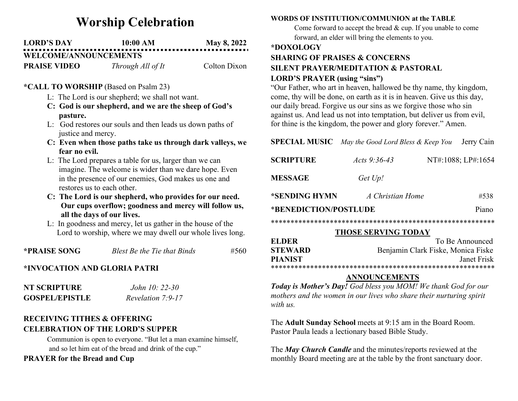# Worship Celebration

| <b>LORD'S DAY</b>            | 10:00 AM | <b>May 8, 2022</b> |
|------------------------------|----------|--------------------|
| <b>WELCOME/ANNOUNCEMENTS</b> |          |                    |

**PRAISE VIDEO** Through All of It Colton Dixon

### \*CALL TO WORSHIP (Based on Psalm 23)

- L: The Lord is our shepherd; we shall not want.
- C: God is our shepherd, and we are the sheep of God's pasture.
- L: God restores our souls and then leads us down paths of justice and mercy.
- C: Even when those paths take us through dark valleys, we fear no evil.
- L: The Lord prepares a table for us, larger than we can imagine. The welcome is wider than we dare hope. Even in the presence of our enemies, God makes us one and restores us to each other.
- C: The Lord is our shepherd, who provides for our need. Our cups overflow; goodness and mercy will follow us, all the days of our lives.
- L: In goodness and mercy, let us gather in the house of the Lord to worship, where we may dwell our whole lives long.

\***PRAISE SONG** Blest Be the Tie that Binds  $#560$ 

# \*INVOCATION AND GLORIA PATRI

| NT SCRIPTURE          | John 10: 22-30    |
|-----------------------|-------------------|
| <b>GOSPEL/EPISTLE</b> | Revelation 7:9-17 |

# RECEIVING TITHES & OFFERING CELEBRATION OF THE LORD'S SUPPER

Communion is open to everyone. "But let a man examine himself, and so let him eat of the bread and drink of the cup."

## PRAYER for the Bread and Cup

### WORDS OF INSTITUTION/COMMUNION at the TABLE

Come forward to accept the bread & cup. If you unable to come forward, an elder will bring the elements to you.

#### \*DOXOLOGY

# SHARING OF PRAISES & CONCERNS SILENT PRAYER/MEDITATION & PASTORAL LORD'S PRAYER (using "sins")

"Our Father, who art in heaven, hallowed be thy name, thy kingdom, come, thy will be done, on earth as it is in heaven. Give us this day, our daily bread. Forgive us our sins as we forgive those who sin against us. And lead us not into temptation, but deliver us from evil, for thine is the kingdom, the power and glory forever." Amen.

SPECIAL MUSIC May the Good Lord Bless & Keep You Jerry Cain

| <b>SCRIPTURE</b>      | Acts 9:36-43     | NT#:1088; LP#:1654 |
|-----------------------|------------------|--------------------|
| <b>MESSAGE</b>        | Get Up!          |                    |
| *SENDING HYMN         | A Christian Home | #538               |
| *BENEDICTION/POSTLUDE | Piano            |                    |

\*\*\*\*\*\*\*\*\*\*\*\*\*\*\*\*\*\*\*\*\*\*\*\*\*\*\*\*\*\*\*\*\*\*\*\*\*\*\*\*\*\*\*\*\*\*\*\*\*\*\*\*\*\*\*\*\*

#### THOSE SERVING TODAY

| <b>ELDER</b>   | To Be Announced                    |  |
|----------------|------------------------------------|--|
| <b>STEWARD</b> | Benjamin Clark Fiske, Monica Fiske |  |
| <b>PIANIST</b> | Janet Frisk                        |  |
|                |                                    |  |

#### ANNOUNCEMENTS

Today is Mother's Day! God bless you MOM! We thank God for our mothers and the women in our lives who share their nurturing spirit with us.

The Adult Sunday School meets at 9:15 am in the Board Room. Pastor Paula leads a lectionary based Bible Study.

The May Church Candle and the minutes/reports reviewed at the monthly Board meeting are at the table by the front sanctuary door.